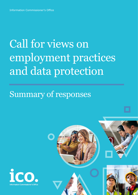# Call for views on employment practices and data protection

## Summary of responses



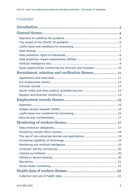## **Contents**

| Equal opportunities monitoring and diversity and inclusion 10 |
|---------------------------------------------------------------|
|                                                               |
|                                                               |
|                                                               |
|                                                               |
|                                                               |
|                                                               |
|                                                               |
|                                                               |
|                                                               |
|                                                               |
|                                                               |
|                                                               |
|                                                               |
|                                                               |
|                                                               |
|                                                               |
|                                                               |
|                                                               |
|                                                               |
|                                                               |
|                                                               |
|                                                               |
|                                                               |
|                                                               |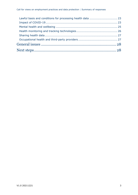| Lawful basis and conditions for processing health data  23 |  |
|------------------------------------------------------------|--|
|                                                            |  |
|                                                            |  |
|                                                            |  |
|                                                            |  |
|                                                            |  |
|                                                            |  |
|                                                            |  |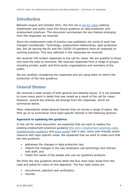## <span id="page-3-0"></span>Introduction

Between August and October 2021, the ICO ran a [call for views](https://ico.org.uk/about-the-ico/ico-and-stakeholder-consultations/ico-call-for-views-on-employment-practices/) seeking stakeholder and public input into future guidance on data protection and employment practices. This document summarises the key themes emerging from the responses we received.

Since the employment code of practice was published, the world of work has changed considerably. Technology, employment relationships, data protection law, the UK leaving the EU and the COVID-19 pandemic have all impacted on working practices. This was reflected in the responses we received.

We received 144 written responses to the call for views. We are grateful to those who took the time to comment. We received responses from a range of groups, including private, public and third sector organisations and members of the public.

We are carefully considering the responses and are using them to inform the production of the new guidance.

## <span id="page-3-1"></span>General themes

We received a wide variety of both general and detailed issues. It is not possible to cover every point in detail that was raised as a result of the call for views. However, several key themes did emerge from the responses, which we summarise below.

Many respondents raised general themes that cut across a range of topics. We then go on to summarise more topic-specific themes in the following sections.

#### <span id="page-3-2"></span>**Approach to updating the guidance**

In the call for views document, we explained that we want to replace the existing employment practices guidance [\(the 2011 employment practices code,](https://ico.org.uk/media/for-organisations/documents/1064/the_employment_practices_code.pdf) [supplementary guidance](https://ico.org.uk/media/for-organisations/documents/1066/employment_practice_code_supplementary_guidance.pdf) and [quick guide\)](https://ico.org.uk/media/for-organisations/documents/1128/quick_guide_to_the_employment_practices_code.pdf) with a new, more user-friendly online resource with topic-specific areas. We explained that we want to make sure that the new guidance:

- addresses the changes in data protection law;
- reflects the changes in the way employers use technology and interact with staff; and
- meets the needs of the people who use our guidance products.

We think the new guidance should retain the four main topic areas from the code and asked for views on this approach. The four topic areas are:

- recruitment, selection and verification;
- records;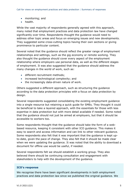- monitoring; and
- health.

While the vast majority of respondents generally agreed with this approach, many noted that employment practices and data protection law have changed significantly over time. Respondents thought the guidance would need to address other topic areas and focus on emerging issues and new developments. They suggested some cross-cutting topics having their own sections or giving prominence to particular content.

Several noted that the guidance should reflect the greater range of employment relationships and settings, such as the gig economy or remote working. They also thought the guidance should cover every aspect of the employment relationship where employers use personal data, as well as the different stages of employment. It was also suggested that the guidance should address the many changes in the world of work, such as:

- different recruitment methods;
- increased technological complexity; and
- the increasingly data-driven nature of work.

Others suggested a different approach, such as structuring the guidance according to the data protection principles with a focus on data protection by design.

Several respondents suggested consolidating the existing employment guidance into a single resource but retaining a quick guide for SMEs. They thought it could be beneficial to take a layered approach, with the essentials for those with less expertise in data protection but with more detail available if needed. Some noted that the guidance should not just be aimed at employers, but that it should be accessible to workers too.

Some respondents thought that the guidance should take the form of a webbased resource, keeping it consistent with other ICO guidance. This makes it easy to search and access information and can link to other relevant guidance. Some respondents also felt that it was important that the guidance is kept upto-date, given the pace of change. They also felt that it should be made clear when we were updating the guidance. It was noted that the ability to download a document for offline use would be useful, if needed.

Several respondents felt we should establish a working group. They also believed there should be continuing consultation and engagement with stakeholders to help with the development of the guidance.

#### **ICO's response**

We recognise there have been significant developments in both employment practices and data protection law since we published the original guidance. We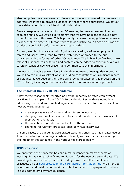also recognise there are areas and issues not previously covered that we need to address; we intend to provide guidance on these where appropriate. We set out more detail about how we intend to do this below.

Several respondents referred to the ICO needing to issue a new employment code of practice. We would like to clarify that we have no plans to issue a new code of practice in this area. This is primarily because having guidance known as a code, that is neither a ICO statutory code of practice nor an Article 40 code of conduct, would risk confusion amongst stakeholders.

Instead, we plan to create a hub of guidance covering various employment topics and issues. We intend to take a web-based approach to the hub, consistent with the format of other ICO guidance. The hub will be flexible, make relevant guidance easier to find and content can be added to over time. We will carefully consider how we present and communicate this information.

We intend to involve stakeholders in the development of new guidance products. We will do this in a variety of ways, including consultations on significant pieces of guidance as we develop them. We will provide updates on this process on the ICO website, including opportunities to provide comments on new products.

#### <span id="page-5-0"></span>**The impact of the COVID-19 pandemic**

A key theme respondents reported as having generally affected employment practices is the impact of the COVID-19 pandemic. Respondents noted how addressing the pandemic has had significant consequences for many aspects of how we work, leading to:

- greater prevalence of home working for some workers;
- changing how employers keep in touch and monitor the performance of their workers remotely;
- the collection of greater amounts of health data; and
- changing recruitment practices (such as virtual interviews).

In some cases, the pandemic accelerated existing trends, such as greater use of AI and monitoring technologies. Where relevant, we discuss themes relating to the impact of the pandemic in the various topic areas below.

#### **ICO's response**

We appreciate the pandemic has had a major impact on many aspects of working life, as well as significant implications for the use of personal data. We provide guidance on many issues, including those that affect employment practices, on our [data protection and coronavirus information hub.](https://ico.org.uk/global/data-protection-and-coronavirus-information-hub/advice-for-nightclub-businesses-and-organisers-of-large-events/) We intend to incorporate and build on coronavirus content relevant to employment practices in our updated employment guidance.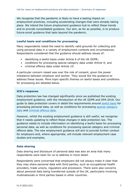We recognise that the pandemic is likely to have a lasting impact on employment practices, including accelerating changes that were already taking place. We intend the future employment guidance hub to reflect these trends and to provide consolidated guidance. Our aim, as far as possible, is to produce future-proof guidance that lasts beyond the pandemic.

#### <span id="page-6-0"></span>**Lawful basis and conditions for processing**

Many respondents noted the need to identify valid grounds for collecting and using personal data in a variety of employment contexts and circumstances. Respondents considered that the guidance should address issues of:

- identifying a lawful basis under Article 6 of the UK GDPR;
- conditions for processing special category data under Article 9; and
- criminal offence data under Article 10.

A particular concern raised was over the role of consent, given the power imbalance between employer and worker. They would like the guidance to address these issues. More topic-specific themes on lawful bases and conditions for processing are detailed below.

#### **ICO's response**

Data protection law has changed significantly since we published the existing employment guidance, with the introduction of the UK GDPR and DPA 2018. Our guide to data protection covers in detail the requirements around [lawful basis](https://ico.org.uk/for-organisations/guide-to-data-protection/guide-to-the-general-data-protection-regulation-gdpr/principles/lawfulness-fairness-and-transparency/) for processing personal data, as well as conditions for processing [special category](https://ico.org.uk/for-organisations/guide-to-data-protection/guide-to-the-general-data-protection-regulation-gdpr/lawful-basis-for-processing/special-category-data/)  [data](https://ico.org.uk/for-organisations/guide-to-data-protection/guide-to-the-general-data-protection-regulation-gdpr/lawful-basis-for-processing/special-category-data/) and [criminal offence data.](https://ico.org.uk/for-organisations/guide-to-data-protection/guide-to-the-general-data-protection-regulation-gdpr/lawful-basis-for-processing/criminal-offence-data/)

However, whilst the existing employment guidance is still useful, we recognise that it needs updating to reflect these changes in data protection law. The guidance needs to include information on identifying a lawful basis for processing personal data, as well as conditions for processing special category and criminal offence data. The new employment guidance will aim to provide further context for employers and, where appropriate, will include relevant employment case studies and examples.

#### <span id="page-6-1"></span>**Data sharing**

Data sharing and disclosure of personal data was also an area that many respondents were keen for us to address in more detail.

Respondents were concerned that employers did not always make it clear that they may share personal data with third parties, such as occupational health providers, trade unions, regulators and processors. There were also concerns about personal data being transferred outside of the UK, particularly involving multinationals or third parties based in other countries.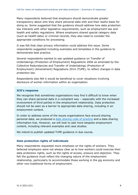Many respondents believed that employers should demonstrate greater transparency about who they share personal data with and their lawful basis for doing so. Some suggested that the guidance should address how data protection law interacts with other legislative requirements, such as employment law and health and safety regulations. Where employers shared special category data (such as health data) or criminal records, they also need to consider the appropriate conditions for processing.

It was felt that clear privacy information could address this issue. Some respondents suggested including examples and templates in the guidance to demonstrate best practice.

Several respondents wanted to see updated guidance on Transfer of Undertakings (Protection of Employment) Regulations 2006 as amended by the Collective Redundancies and Transfer of Undertakings (Protection of Employment) (Amendment) Regulations 2014 (TUPE), to reflect changes in data protection law.

Respondents also felt it would be beneficial to cover situations involving disclosure of worker information within an organisation.

#### **ICO's response**

We recognise that sometimes organisations may find it difficult to know when they can share personal data in a compliant way – especially with the increased involvement of third parties in the employment relationship. Data protection should not be seen as a barrier to appropriate data sharing, including in an employment context.

In order to address some of the issues organisations face around sharing personal data, we produced a [data sharing code of practice](https://ico.org.uk/for-organisations/guide-to-data-protection/ico-codes-of-practice/data-sharing-code/) and a [data sharing](https://ico.org.uk/for-organisations/data-sharing-information-hub/)  [information hub.](https://ico.org.uk/for-organisations/data-sharing-information-hub/) However, we will look to add more bespoke employment content, including relevant examples and case studies.

We intend to publish updated TUPE guidance in due course.

#### <span id="page-7-0"></span>**Data protection rights of individuals**

Many respondents requested more emphasis on the rights of workers. They believed employers were not always clear as to how workers could exercise their data protection rights, such as the rights of access, erasure and objection. They felt the guidance must reflect the changing nature of the employment relationship, particularly to accommodate those working in the gig economy and other non-traditional forms of employment.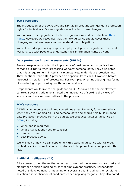#### **ICO's response**

The introduction of the UK GDPR and DPA 2018 brought stronger data protection rights for individuals. Our new guidance will reflect these changes.

We do have existing guidance for both organisations and individuals on these [rights.](https://ico.org.uk/for-organisations/guide-to-data-protection/guide-to-the-general-data-protection-regulation-gdpr/individual-rights/) However, we recognise that the new guidance should cover these changes, so that employers can understand their obligations.

We will consider producing bespoke employment practices guidance, aimed at workers, to assist people to understand their information rights at work.

#### <span id="page-8-0"></span>**Data protection impact assessments (DPIAs)**

Several respondents noted the importance of businesses and organisations carrying out DPIAs when processing workers' personal data. They also noted that it is a requirement, in certain circumstances, under data protection law. They identified that a DPIA provides an opportunity to consult workers before introducing new forms of processing. For example, when introducing new forms of monitoring or processing health data of workers.

Respondents would like to see guidance on DPIAs tailored to the employment context. Several trade unions noted the importance of seeking the views of workers and their representatives in the process.

#### **ICO's response**

A DPIA is an important tool, and sometimes a requirement, for organisations when they are planning on using personal data and should help build in good data protection practice from the outset. We produced detailed guidance on [DPIAs,](https://ico.org.uk/for-organisations/guide-to-data-protection/guide-to-the-general-data-protection-regulation-gdpr/data-protection-impact-assessments-dpias/) including:

- when one is required;
- what organisations need to consider;
- templates; and
- best practice advice.

We will look at how we can supplement this existing guidance with tailored, context-specific examples and case studies to help employers comply with the law.

#### <span id="page-8-1"></span>**Artificial intelligence (AI)**

A key cross-cutting theme that emerged concerned the increasing use of AI and algorithmic decision-making as part of employment practices. Respondents noted this development is impacting on several areas, including the recruitment, selection and verification of candidates when applying for jobs. They also noted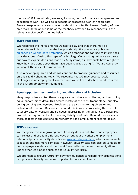the use of AI in monitoring workers, including for performance management and allocation of work, as well as in aspects of processing worker health data. Several respondents raised concerns about the potential harms of using AI. We give more detail about some of the feedback provided by respondents in the relevant topic-specific themes below.

#### **ICO's response**

We recognise the increasing role AI has to play and that there may be uncertainties in how to operate it appropriately. We previously published [guidance on AI and data protection,](https://ico.org.uk/for-organisations/guide-to-data-protection/key-dp-themes/guidance-on-ai-and-data-protection/) which organisations can use to inform their considerations of using this type of technology. Our existing guidance also sets out how to explain decisions made by AI systems, as individuals have a right to know how decisions about them have been reached using AI. We are currently looking at the issue of fairness and AI.

AI is a developing area and we will continue to produce guidance and resources on this rapidly changing topic. We recognise that AI may pose particular challenges in an employment context, and we will consider how to address this in the future employment guidance.

#### <span id="page-9-0"></span>**Equal opportunities monitoring and diversity and inclusion**

Many respondents noted there is a greater emphasis on collecting and recording equal opportunities data. This occurs mostly at the recruitment stage, but also during ongoing employment. Employers are also monitoring diversity and inclusion information. Respondents noted this involves processing the special category data of workers and so needs addressing in the guidance, particularly around the requirements of processing this type of data. Related themes cover these aspects in the sections on recruitment and employment records below.

#### **ICO's response**

We recognise this is a growing area. Equality data is not static and employers can collect and use it in different ways throughout a worker's employment relationship. Most equality data is also [special category data,](https://ico.org.uk/for-organisations/guide-to-data-protection/guide-to-the-general-data-protection-regulation-gdpr/lawful-basis-for-processing/special-category-data/) which can make its collection and use more complex. However, equality data can also be valuable to help employers understand their workforce better and meet their obligations under other legislations such as the Equality Act 2010.

We are keen to ensure future employment guidance considers how organisations can process diversity and equal opportunity data compliantly.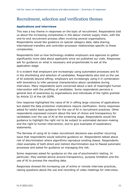## <span id="page-10-0"></span>Recruitment, selection and verification themes

#### <span id="page-10-1"></span>**Applications and interviews**

This was a key theme in responses on the topic of recruitment. Respondents told us about the increasing complexities in the labour market supply chain, with the end-to-end recruitment process often involving several organisations. Respondents would like guidance on special category data, data sharing, international transfers and controller-processor relationships specific to these complexities.

Respondents told us how technology enables employers and agencies to gather significantly more data about applicants since we published our code. Responses ask for guidance on what is necessary and proportionate to ask at the application stage.

It is evident that employers are increasingly using automated processes and AI in the shortlisting and selection of candidates. Respondents also told us the use of AI extends beyond sifting; employers are increasingly using it in combination with biometrics to infer personal characteristics about candidates during interviews. Many respondents were concerned about a lack of meaningful human intervention with the profiling of candidates. Some respondents perceive a general lack of awareness by organisations and individuals of the rights granted by Article 22 of the UK GDPR.

One response highlighted the value of AI in sifting large volumes of applications but stated the data protection implications require clarification. Some responses asked for lawful basis guidance for the use of AI in recruitment practices. Other respondents expressed concern about the lack of choice and transparency for candidates over the use of AI at the screening stage. Respondents would like guidance to highlight the right not to be subject to automated decision-making and the right to human intervention, and to give examples of explanatory statements.

The fairness of using AI to make recruitment decisions was another recurring issue that respondents would welcome guidance on. Respondents talked about risk of discrimination where algorithms reproduce existing biases. Respondents cited examples of both direct and indirect discrimination due to flawed automatic processes and asked for guidance on managing this risk.

Some responses asked for guidance on the use of psychometric testing. In particular, they wanted advice around transparency, purpose limitation and the use of AI to process the resulting data.

Responses showed the increasing use of online or remote interview practices, raising questions about the use and recording of video meetings for interviews.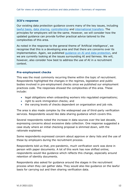#### **ICO's response**

Our existing data protection guidance covers many of the key issues, including [lawful basis,](https://ico.org.uk/for-organisations/guide-to-data-protection/guide-to-the-general-data-protection-regulation-gdpr/principles/lawfulness-fairness-and-transparency/) [data sharing,](https://ico.org.uk/for-organisations/data-sharing-information-hub/) [controllership](https://ico.org.uk/for-organisations/guide-to-data-protection/guide-to-the-general-data-protection-regulation-gdpr/controllers-and-processors/) and [international transfers.](https://ico.org.uk/for-organisations/dp-at-the-end-of-the-transition-period/data-protection-and-the-eu-in-detail/the-uk-gdpr/international-data-transfers/) The principles for employers will be the same. However, we will consider how the updated guidance can provide further practical advice tailored to the complexities of this area.

As noted in the response to the general theme of 'Artificial intelligence', we recognise that this is a developing area and that there are concerns over its implementation. Again, we published [guidance on AI and data protection,](https://ico.org.uk/for-organisations/guide-to-data-protection/key-dp-themes/guidance-on-ai-and-data-protection/) and we are currently looking at the issues surrounding AI and fairness. We will, however, also consider how best to address the use of AI in a recruitment context.

#### <span id="page-11-0"></span>**Pre-employment checks**

This was the most commonly recurring theme within the topic of recruitment. Respondents highlighted the changes in the regimes, legislation and public bodies involved in pre-employment checks since we published our employment practices code. The responses showed the complexities of this area. These include:

- legal obligations when onboarding workers into regulated organisations;
- right to work immigration checks; and
- the varying levels of checks dependent on organisation and job role.

The area is also made complex by the widespread use of third-party verification services. Respondents would like data sharing guidance which covers this.

Several respondents noted the increase in data sources over the last decade, expressing concerns about excessive data collection. One response suggested a case study where an initial checking proposal is slimmed down, with the rationale explained.

Some respondents expressed concern about approve or deny lists and the use of these by employers during the recruitment process.

Respondents told us that, pre-pandemic, much verification work was done in person with paper documents. A lot of this work has now shifted online; respondents would like guidance which reflects this change, especially around retention of identity documents.

Respondents also asked for guidance around the stages in the recruitment process when they can gather data. They would also like guidance on the lawful basis for carrying out and then sharing verification data.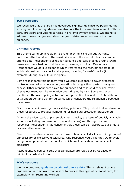#### **ICO's response**

We recognise that this area has developed significantly since we published the existing employment guidance. We also note the increased involvement of thirdparty providers and vetting services in pre-employment checks. We intend to address these changes and also changes in data protection law in the new guidance.

#### <span id="page-12-0"></span>**Criminal records**

This theme came up in relation to pre-employment checks but warrants particular attention due to the sensitivity of and the special rules for criminal offence data. Respondents asked for guidance and case studies around lawful bases and the schedule conditions for processing criminal offence data. Respondents would like guidance which references the recruitment stage at which criminal records checks take place, including 'refresh' checks (for example, during buy outs or mergers).

Some respondents told us they would welcome guidance to cover processorcontroller scenarios, where an organisation is using a third party to carry out checks. Other respondents asked for guidance and case studies which cover checks not mandated by regulation but indicated by risk. Some responses mentioned the overlapping nature of data protection law and the Rehabilitation of Offenders Act and ask for guidance which considers the relationship between these laws.

One response acknowledged our existing guidance. They asked that we draw on these resources to produce something for non-data protection practitioners.

As with the wider topic of pre-employment checks, the issue of publicly available sources (including employment tribunal decisions) ran through several responses. Respondents had concerns that these can be inaccurate, out of date or cause discrimination.

Concerns were also expressed about how to handle self-disclosure, citing risks of unnecessary or excessive disclosures. One response would like the ICO to avoid being prescriptive about the point at which employers should request selfdisclosure.

Respondents raised concerns that candidates are ruled out by AI based on criminal records disclosure.

#### **ICO's response**

We have produced [guidance on criminal offence data.](https://ico.org.uk/for-organisations/guide-to-data-protection/guide-to-the-general-data-protection-regulation-gdpr/lawful-basis-for-processing/criminal-offence-data/) This is relevant to any organisation or employer that wishes to process this type of personal data, for example when recruiting workers.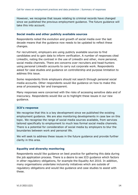However, we recognise that issues relating to criminal records have changed since we published the previous employment guidance. The future guidance will take this into account.

#### <span id="page-13-0"></span>**Social media and other publicly available sources**

Respondents noted the evolution and growth of social media over the last decade means that the guidance now needs to be updated to reflect these changes.

For recruitment, employers are using publicly available sources to find candidates and to gain data to inform verification. A number of responses cited LinkedIn, noting the contrast in the use of LinkedIn and other, more personal, social media channels. There are concerns over recruiters and head-hunters using personal LinkedIn accounts to carry out corporate work. Respondents asked for case studies and guidance on controllership and purpose limitation to address this issue.

Some respondents think employers should not search through personal social media accounts. Other respondents would like guidance on how to make this area of processing fair and transparent.

Many responses were concerned with the risks of accessing sensitive data and of inaccuracy. Respondents would like us to highlight these issues in our new guidance.

#### **ICO's response**

We recognise that this is a key development since we published the existing employment guidance. We are also monitoring developments in case law on this topic. We recognise the range of social media sources available, from services tailored specifically to employment to much less formal social media channels. There is a potential for consideration of social media by employers to blur the boundaries between work and personal life.

We will seek to address these issues in the future guidance and provide further clarity in this area.

#### <span id="page-13-1"></span>**Equality and diversity monitoring**

Respondents would like guidance on best practice for gathering this data during the job application process. There is a desire to see ICO guidance which factors in other regulatory obligations, for example the Equality Act 2010. In addition, many organisations undertake inclusivity initiatives which are outside of regulatory obligations and would like guidance and case studies to assist with these.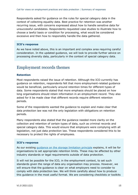Respondents asked for guidance on the rules for special category data in the context of collecting equality data. Best practice for retention was another recurring issue, with concerns expressed about how to handle sensitive data for unsuccessful candidates. Respondents requested case studies to illustrate how to choose a lawful basis or condition for processing, what would be considered excessive and then how to responsibly handle the data gathered.

#### **ICO's response**

As we have noted above, this is an important and complex area requiring careful consideration. In the updated guidance, we will look to provide further advice on processing diversity data, particularly in the context of special category data.

## <span id="page-14-0"></span>Employment records themes

#### <span id="page-14-1"></span>**Retention**

Most respondents raised the issue of retention. Although the ICO currently has guidance on retention, respondents felt that more employment-related guidance would be beneficial, particularly around retention times for different types of data. Some respondents stated that more emphasis should be placed on how long organisations should retain information in an employment record. They also asked for it be made clear that different records require different retention periods.

Some of the respondents wanted the guidance to explain and make clear that data protection law was not the only legislation with obligations on retention periods.

Many respondents also stated that the guidance needed more clarity on the collection and retention of certain types of data, such as criminal records and special category data. This would ensure that employers were complying with all legislation, not just data protection law. These respondents considered this to be necessary to protect the rights of employees.

#### **ICO's response**

As our existing [guidance on the storage limitation principle](https://ico.org.uk/for-organisations/guide-to-data-protection/guide-to-the-general-data-protection-regulation-gdpr/principles/storage-limitation/) explains, it will be for organisations to set appropriate retention limits. These may be affected by other industry standards or legal requirements outside of data protection.

It will not be possible for the ICO, in the employment context, to set such standards given the range of data any organisation may process. However, we will ensure that the guidance is clear on what employers need to consider to comply with data protection law. We will think carefully about how to produce this guidance in the most useful format. We are considering checklists or toolkits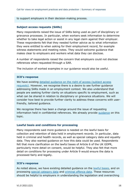#### to support employers in their decision-making process.

#### <span id="page-15-0"></span>**Subject access requests (SARs)**

Many respondents raised the issue of SARs being used as part of disciplinary or grievance processes. In particular, when workers seek information to determine whether to take legal action or assist in any legal claim against their employer. These respondents felt that they needed further advice as to what information they were entitled to when asking for their employment record, for example witness statements and meeting notes. They would welcome guidance that makes clear to employers and workers what data they can disclose.

A number of respondents raised the concern that employers could not disclose references when requested through a SAR.

The inclusion of worked examples in our guidance would also be useful.

#### **ICO's response**

We have existing [detailed guidance on the right of access \(subject access](https://ico.org.uk/for-organisations/guide-to-data-protection/guide-to-the-general-data-protection-regulation-gdpr/right-of-access/)  [requests\).](https://ico.org.uk/for-organisations/guide-to-data-protection/guide-to-the-general-data-protection-regulation-gdpr/right-of-access/) However, we recognise there is a desire to see further guidance addressing SARs made in an employment context. We also understand that people are seeking further clarity on situations specific to employment, such as what can be shared in relation to disciplinary or grievance situations. We will consider how best to provide further clarity to address these concerns with userfriendly, tailored guidance.

We recognise there has been a change around the issue of requesting information held in confidential references. We already provide [guidance](https://ico.org.uk/for-organisations/guide-to-data-protection/guide-to-the-general-data-protection-regulation-gdpr/exemptions/#ex34) on this topic.

#### <span id="page-15-1"></span>**Lawful basis and conditions for processing**

Many respondents said more guidance is needed on the lawful basis for collection and retention of data held in employment records. In particular, data held in criminal and health records, as well as special category data and equality data. They also wanted guidance on how this data could be used. Respondents felt that more clarification on the lawful bases of Article 6 of the UK GDPR, particularly more detail on consent, would be helpful. They also felt that more detail on conditions for processing under Article 9 would ensure the data is processed fairly and legally.

#### **ICO's response**

As noted above, we have existing detailed guidance on the [lawful bases,](https://ico.org.uk/for-organisations/guide-to-data-protection/guide-to-the-general-data-protection-regulation-gdpr/lawful-basis-for-processing/) and on processing [special category data](https://ico.org.uk/for-organisations/guide-to-data-protection/guide-to-the-general-data-protection-regulation-gdpr/lawful-basis-for-processing/special-category-data/) and [criminal offence data.](https://ico.org.uk/for-organisations/guide-to-data-protection/guide-to-the-general-data-protection-regulation-gdpr/lawful-basis-for-processing/criminal-offence-data/) These resources should be helpful to employers in understanding the legislation and overarching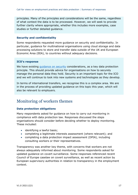principles. Many of the principles and considerations will be the same, regardless of what context the data is to be processed. However, we will seek to provide further clarity where appropriate, whether this includes more examples, case studies or further detailed guidance.

#### <span id="page-16-0"></span>**Security and confidentiality**

Some respondents requested more guidance on security and confidentiality. In particular, guidance for multinational organisations using cloud storage and data processing solutions to store and transfer data outside of the UK and European Economic Area (EEA), to countries without adequacy decisions.

#### **ICO's response**

We have existing quidance on security considerations, as a key data protection principle. This should provide advice for organisations on how to securely manage the personal data they hold. Security is an important topic for the ICO and we will continue to look into new systems and technologies as they develop.

In terms of international transfers, we recognise this is a complex area. We are in the process of providing updated guidance on this topic this year, which will also be relevant to employers.

### <span id="page-16-1"></span>Monitoring of workers themes

#### <span id="page-16-2"></span>**Data protection obligations**

Many respondents asked for guidance on how to carry out monitoring in compliance with data protection law. Responses discussed the steps organisations should consider before deciding whether to deploy monitoring. These included:

- identifying a lawful basis;
- completing a legitimate interests assessment (where relevant); and
- completing a data protection impact assessment (DPIA), including consulting workers or their representatives.

Transparency was another key theme, with concerns that workers are not always adequately informed about monitoring. Some respondents asked for updated guidance on covert surveillance. Some responses referenced recent Council of Europe caselaw on covert surveillance, as well as recent action by European supervisory authorities in relation to transparency in the employment context.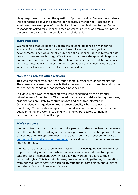Many responses concerned the question of proportionality. Several respondents were concerned about the potential for excessive monitoring. Respondents would welcome examples of compliant and non-compliant monitoring. Some respondents asked for guidance aimed at workers as well as employers, noting the power imbalance in the employment relationship.

#### **ICO's response**

We recognise that we need to update the existing guidance on monitoring workers. An updated version needs to take into account the significant developments since we originally published the guidance, both in terms of data protection law and technology. We will seek to address the general obligations an employer has and the factors they should consider in the updated guidance. Linked to this, we will be publishing updated video surveillance guidance this year. This will address some of the issues raised here.

#### <span id="page-17-0"></span>**Monitoring remote office workers**

This was the most frequently recurring theme in responses about monitoring. The consensus across responses is that acceleration towards remote working, as caused by the pandemic, has increased privacy risks.

Individuals and worker representatives were concerned by the potential intrusiveness of monitoring. They noted that, even with risk-reducing measures, organisations are likely to capture private and sensitive information. Organisations want guidance around proportionality when it comes to monitoring. There is also an appetite for guidance which considers the overlap between home and work life, along with employers' desires to manage performance and track wellbeing.

#### **ICO's response**

We recognise that, particularly due to the pandemic, there has been an increase in both remote office working and monitoring of workers. This brings with it new challenges and new opportunities. In the short term, we produced guidance on [data protection and working from home](https://ico.org.uk/for-organisations/working-from-home/) for our data protection and coronavirus information hub.

We intend to address the longer-term issues in our new guidance. We are keen to provide clarity on how and when employers can carry out monitoring, in a data protection-compliant way, whilst allowing workers to exercise their individual rights. This is a priority area; we are currently gathering information from our regulatory activities such as investigations, complaints, and audits to help shape future guidance in this area.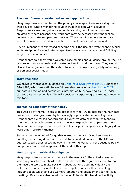#### <span id="page-18-0"></span>**The use of non-corporate devices and applications**

Many responses commented on the privacy challenges of workers using their own devices, where monitoring could intrude into non-work activities. Respondents asked for guidance on understanding employer and worker obligations where personal and work data may be accessed interchangeably between corporate and personal devices. Where monitoring occurs for data security reasons, respondents ask how to handle incidental personal data.

Several respondents expressed concerns about the use of private channels, such as WhatsApp or Facebook Messenger. Particular concern was around fulfilling subject access requests.

Respondents said they would welcome case studies and guidance around the use of non-corporate channels and private devices for work purposes. They would also welcome guidance on the extent to which employers can justify monitoring of personal social media.

#### **ICO's response**

We previously produced guidance on **Bring Your Own Device (BYOD)** under the DPA 1998, which may still be useful. We also produced a [checklist on BYOD](https://ico.org.uk/for-organisations/working-from-home/bring-your-own-device-what-should-we-consider/) in our data protection and coronavirus information hub, covering its use under current data protection law. We will consider incorporating updated guidance on this topic.

#### <span id="page-18-1"></span>**Increasing capability of technology**

This was a key theme. There is an appetite for the ICO to address the new data protection challenges posed by increasingly sophisticated monitoring tools. Respondents expressed concern about excessive data collection, as technical solutions now enable organisations to collect large volumes of personal data about workers. Purpose creep and the rules for processing special category data were other recurrent themes.

Some respondents asked for guidance around the use of cloud services for handling monitoring data, and where data is handled outside of the UK. We address specific uses of technology in monitoring workers in the sections below and provide an overall response at the end of this topic.

#### <span id="page-18-2"></span>**Monitoring and artificial intelligence**

Many respondents mentioned the rise in the use of AI. They cited examples where organisations apply AI tools to the datasets they gather by monitoring, then use the tools to make decisions about workers both individually and collectively. Some respondents cited new applications for this technology, including tools which analyse workers' emotion and engagement during video meetings. Responses also noted the use of AI to identify fraudulent activity.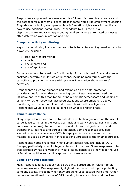Respondents expressed concerns about lawfulness, fairness, transparency and the potential for algorithmic biases. Respondents would like employment-specific AI guidance, including examples on how information rights work in practice and how to use additional safeguards. Respondents told us there is a disproportionate impact on gig economy workers, where automated processes often determine work allocation and pay.

#### <span id="page-19-0"></span>**Computer activity monitoring**

Keystroke monitoring involves the use of tools to capture all keyboard activity by a worker, including:

- tracking web browsing;
- emails;
- documents; and
- use of applications.

Some responses discussed the functionality of the tools used. Some 'all-in-one' packages perform a multitude of functions, including monitoring, with the capability to provide managers with granular information about workers' activities.

Respondents asked for guidance and examples on the data protection considerations for using these monitoring tools. Responses mentioned the intrusive nature of this monitoring, citing automatic screenshots and logging of all activity. Other responses discussed situations where employers deploy monitoring to prevent data loss and to comply with other obligations. Respondents would like to see guidance on what is proportionate.

#### <span id="page-19-1"></span>**Camera surveillance**

Many respondents asked for up-to-date data protection guidance on the use of surveillance cameras in the workplace (including work vehicles, dashcams and body-worn cameras). In particular, respondents wanted guidance around transparency, fairness and purpose limitation. Some responses provided scenarios, for example where CCTV is deployed for crime prevention, then material is used as evidence in investigations unrelated to the original purpose.

Respondents noted challenges when subject access requests include CCTV footage, particularly when footage captures third parties. Some responses noted that technology has evolved; they would like guidance to acknowledge the use of facial recognition and audio capture in modern systems.

#### <span id="page-19-2"></span>**Vehicle or device tracking**

Many responses talked about vehicle tracking, particularly in relation to gig economy workers. One response highlighted the use of tracking for protecting company assets, including when they are being used outside work time. Other responses mentioned the use of GPS tracking to locate mobile work devices.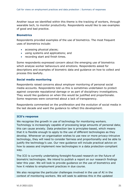Another issue we identified within this theme is the tracking of workers, through wearable tech, to monitor productivity. Respondents would like to see examples of good and bad practice.

#### <span id="page-20-0"></span>**Biometrics**

Respondents provided examples of the use of biometrics. The most frequent uses of biometrics include:

- accessing physical places;
- using systems and applications; and
- recording start and finish times.

Some respondents expressed concern about the emerging use of biometrics which analyse worker behaviours and emotions. Respondents asked for descriptions and examples of biometric data and guidance on how to collect and process this lawfully.

#### <span id="page-20-1"></span>**Social media monitoring**

Respondents raised concerns about employer monitoring of personal social media accounts. Respondents told us this is sometimes undertaken to protect against corporate reputational damage or as part of disciplinary investigations. They would like guidance on when this would be justified and proportionate. Some responses were concerned about a lack of transparency.

Respondents commented on the proliferation and the evolution of social media in the last decade and want the guidance to reflect this development.

#### **ICO's response**

We recognise the growth in use of technology for monitoring workers. Technology is increasingly capable of processing large amounts of personal data; this can cause anxiety. Data protection law is principles-based, which means that it is flexible enough to apply to the use of different technologies as they develop. Whenever an organisation wishes to use new or more privacy-intrusive technology, they will need to consider fairness and proportionality and be able to justify the technology's use. Our new guidance will include practical advice on how to assess and implement new technologies in a data protection-compliant way.

The ICO is currently undertaking foresight-focused research on the future of biometric technologies. We intend to publish a report on our research findings later this year. We will look to provide guidance on the use of biometrics and how it relates to employment practices in due course.

We also recognise the particular challenges involved in the use of AI in the context of monitoring workers. We will seek to address this in the updated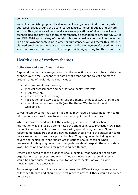#### guidance.

We will be publishing updated video surveillance guidance in due course, which addresses issues around the use of surveillance cameras in public and private sectors. This guidance will also address new applications of video surveillance technologies and provide a more comprehensive description of how the UK GDPR and DPA 2018 apply. Many of the principles and considerations will be the same in an employment context as in other circumstances. We will factor this into our planned employment guidance to produce specific employment-focused guidance where appropriate. We will also have appropriate signposting to other resources.

## <span id="page-21-0"></span>Health data of workers themes

#### <span id="page-21-1"></span>**Collection and use of health data**

A general theme that emerged was how the collection and use of health data has changed over time. Respondents noted that organisations collect and store a greater range of health data. This includes:

- sickness and injury records;
- medical assessments and occupational health referrals;
- drugs testing;
- pre-employment screening;
- vaccination and Covid testing (see the theme 'Impact of COVID-19'); and
- mental and emotional health (see the theme 'Mental health and wellbeing').

It was noted by some that certain job roles may have a greater need for health information (such as fitness to work and for appointment to a role).

Whilst several respondents felt the existing guidance on workers' health information was still useful, some noted the changes in data protection law since its publication, particularly around processing special category data. Some respondents considered that the new guidance should make the status of health data clear under current data protection law. They suggested including what it covers and explaining what factors organisations should consider when processing it. Many suggested that the guidance should explain the appropriate lawful bases and conditions for processing health data.

Others considered that the guidance should explain what types of health data organisations can process and when. They suggested detail around when it would be appropriate to actively monitor workers' health, as well as when medical testing is acceptable.

Some suggested the guidance should address the different ways organisations collect health data and should offer best practice advice. Others would like to see guidance on: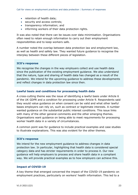- retention of health data;
- security and access controls;
- transparency information; and
- informing workers of their data protection rights.

It was also noted that there can be issues over data minimisation. Organisations often need to retain enough information to carry out their employment responsibilities and to keep workers safe.

A number noted the overlap between data protection law and employment law, as well as health and safety law. They wanted future guidance to recognise the interplay between these different pieces of legislation.

#### **ICO's response**

We recognise the changes in the way employers collect and use health data since the publication of the existing employment guidance. We also understand that the nature, type and sharing of health data has changed as a result of the pandemic. We intend for the upcoming guidance to address these developments and reflect changes in data protection law since then.

#### <span id="page-22-0"></span>**Lawful basis and conditions for processing health data**

A cross-cutting theme was the issue of identifying a lawful basis under Article 6 of the UK GDPR and a condition for processing under Article 9. Respondents said they would value guidance on when consent can be valid and what other lawful bases employers can rely on, such as contract or legitimate interests. A number wanted guidance on the substantial public interest conditions. This issue links with many of the other general comments and the other emerging themes. Organisations want guidance on being able to meet requirements for processing worker health data in a variety of circumstances.

A common point was for guidance to include practical examples and case studies to illustrate explanations. This was also evident for the other themes.

#### **ICO's response**

We intend for the new employment guidance to address changes in data protection law. In particular, highlighting that health data is considered special category data and has stricter requirements in order to process it. Our new guidance will help employers to process and share health data in a compliant way. We will provide practical examples as to how employers can achieve this.

#### <span id="page-22-1"></span>**Impact of COVID-19**

A key theme that emerged concerned the impact of the COVID-19 pandemic on employment practices, particularly on workers' health information. This led to a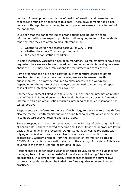number of developments in the use of health information and presented new challenges around the handling of this data. These developments took place quickly, with organisations having to put in place processes at pace to deal with the pandemic.

It is clear that the pandemic led to organisations holding more health information, with some expecting this to continue going forward. Respondents reported that they are often holding information on:

- whether a worker has tested positive for COVID-19;
- whether they have Covid symptoms; and
- the vaccination status of workers.

In some instances, vaccination has been mandatory. Some employers have also requested their workers be vaccinated, with some respondents having concerns about this. This may have implications for recruitment practices as well.

Some organisations have been carrying out temperature checks to detect possible infection; others have been asking workers to answer health questionnaires. This may be required to allow access to the workplace. Depending on the nature of the employer, some need to monitor and report cases of Covid infection among their workers.

Another development linked with this is the issue of sharing information related to COVID-19. This could be with public health bodies or disclosing information internally within an organisation (such as informing colleagues if someone has tested positive).

Respondents also referred to the use of technology to track workers' health (see also the theme 'Health monitoring or tracking technologies'), which may be seen in temperature checks, testing and use of apps.

Several respondents noted concerns about the legitimacy of collecting this kind of health data. Others reported concerns about identifying the appropriate lawful basis and conditions for processing COVID-19 data, as well as problems with relying on individual consent. (see also 'Lawful basis and conditions for processing'). Concerns ranged from the collection of information related to COVID-19, particularly vaccination status, to the sharing of this data. This is also covered in the theme 'Sharing health data' below.

Respondents asked for clear guidance on these issues, along with guidance for managing health information post-Covid, and also anticipating future health emergencies. In a similar vein, many respondents thought the current ICO coronavirus guidance should be folded into future guidance on employment practices.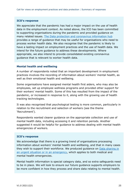#### **ICO's response**

We appreciate that the pandemic has had a major impact on the use of health data in the employment context. As noted above, the ICO has been committed to supporting organisations during the pandemic and provided guidance on many related issues. [The Data protection and coronavirus information hub](https://ico.org.uk/global/data-protection-and-coronavirus-information-hub/) provides a range of guidance that may be useful for organisations who need to process worker health data. We also recognise that the pandemic is likely to have a lasting impact on employment practices and the use of health data. We intend for the future guidance to address these developments. Where appropriate, we also intend to provide consolidated existing coronavirus guidance that is relevant to worker health data.

#### <span id="page-24-0"></span>**Mental health and wellbeing**

A number of respondents noted that an important development in employment practices involves the recording of information about workers' mental health, as well as their emotional health and wellbeing.

Some organisations have assigned mental health first aiders, who may also be employees, set up employee wellness programs and provided other support for their workers' mental health. Some of this has resulted from the impact of the pandemic, or increased in response to it, along with the growing use of health tracking technologies.

It was also recognised that psychological testing is more common, particularly in relation to the recruitment and selection of workers (see the theme 'Recruitment').

Respondents wanted clearer guidance on the appropriate collection and use of mental health data, including accessing it and retention periods. Another suggested it would be helpful for guidance to address dealing with mental health emergencies of workers.

#### **ICO's response**

We acknowledge that there is a growing trend of organisations processing information about workers' mental health and wellbeing, and that in many cases they wish to support their workforce. We produced guidance on [Data sharing in](https://ico.org.uk/for-organisations/guide-to-data-protection/ico-codes-of-practice/data-sharing-a-code-of-practice/data-sharing-in-an-urgent-situation-or-in-an-emergency/)  [an urgent situation or in an emergency,](https://ico.org.uk/for-organisations/guide-to-data-protection/ico-codes-of-practice/data-sharing-a-code-of-practice/data-sharing-in-an-urgent-situation-or-in-an-emergency/) which applies to both medical and mental health emergencies.

Mental health information is special category data, and so extra safeguards need to be in place. We will look to ensure our future guidance supports employers to be more confident in how they process and share data relating to mental health.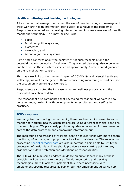#### <span id="page-25-0"></span>**Health monitoring and tracking technologies**

A key theme that emerged concerned the use of new technology to manage and track workers' health information, particularly as a result of the pandemic. Respondents reported an increasing interest in, and in some cases use of, health monitoring technology. This may include using:

- apps;
- facial recognition systems;
- biometrics:
- wearables; and
- AI and algorithmic systems.

Some noted concerns about the deployment of such technology and the potential impacts on workers' wellbeing. They wanted clearer guidance on when and how to use these systems safely and appropriately. Some wanted guidance on the role of worker consent.

This has clear links to the themes 'Impact of COVID-19' and 'Mental health and wellbeing', as well as the general themes concerning monitoring of workers (see the section on 'Monitoring of workers').

Respondents also noted the increase in worker wellness programs and the associated collection of data.

One respondent also commented that psychological testing of workers is now quite common, linking in with developments in recruitment and verification practices.

#### **ICO's response**

We recognise that, during the pandemic, there has been an increased focus on monitoring workers' health. Organisations are using different technical solutions to meet this goal. We previously published guidance on some of these issues as part of the data protection and coronavirus information hub.

The monitoring and tracking of workers' health has clear links with more general monitoring of workers, with proportionality a key consideration. The rules around processing [special category data](https://ico.org.uk/for-organisations/guide-to-data-protection/guide-to-the-general-data-protection-regulation-gdpr/lawful-basis-for-processing/special-category-data/) are also important in being able to justify the processing of health data. They should provide a clear starting point for any organisation's data protection considerations or responsibilities.

The ICO will be publishing updated guidance on surveillance; many of these principles will be relevant to the use of health monitoring and tracking technologies. We will look to supplement this, where necessary, with employment-specific resources as part of our new employment guidance hub.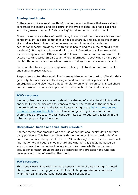#### <span id="page-26-0"></span>**Sharing health data**

In the context of workers' health information, another theme that was evident concerned the sharing and disclosure of this type of data. This has clear links with the general theme of 'Data sharing' found earlier in this document.

Given the sensitive nature of health data, it was noted that there are issues over confidentiality, but also sometimes a need to share it. This could be the sharing of a worker's health information between an employer and an external occupational health provider, or with public health bodies (in the context of the pandemic). It might also involve disclosure of information to colleagues within the same organisation. Others wanted to know the limits that an employer could access health records. In particular, where information about when a third party created the records, such as when a worker undergoes a medical assessment.

Some wanted to see greater emphasis on being able to share data with health and safety representatives.

Respondents noted they would like to see guidance on the sharing of health data generally, but also specifically during a pandemic and other public health emergencies. One also noted a need for clarity on when organisations can share data if a worker becomes incapacitated and is unable to make decisions.

#### **ICO's response**

We recognise there are concerns about the sharing of worker health information and who it may be disclosed to, especially given the context of the pandemic. We provided guidance on the issue of data sharing in the **Data protection and** [coronavirus information hub,](https://ico.org.uk/global/data-protection-and-coronavirus-information-hub/) as well as more general guidance in the data sharing code of practice. We will consider how best to address this issue in the future employment guidance hub.

#### <span id="page-26-1"></span>**Occupational health and third-party providers**

Another theme that emerged was the use of occupational health data and thirdparty providers. This has clear links with the theme of 'Sharing health data' in particular and also the general theme of 'Data sharing'. Some queried how much information organisations should share and whether this should be based on worker consent or on contract. A key issue raised was whether outsourced occupational health providers act as a controller or a processor and who can have access to the information they hold.

#### **ICO's response**

This issue clearly links with the more general theme of data sharing. As noted above, we have existing guidance that should help organisations understand when they can share personal data and their obligations.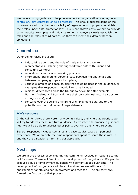We have existing guidance to help determine if an organisation is acting as a [controller, joint controller or as a processor.](https://ico.org.uk/for-organisations/guide-to-data-protection/guide-to-the-general-data-protection-regulation-gdpr/controllers-and-processors/) This should address some of the concerns raised. It is the responsibility of organisations to properly establish their roles under data protection law. This is not always easy. We aim to provide some practical examples and guidance to help employers clearly establish their roles and the roles of third parties, so they can meet their data protection obligations.

## <span id="page-27-0"></span>General issues

Other points raised included:

- industrial relations and the role of trade unions and worker representatives, including sharing workforce data with unions and consulting workers;
- secondments and shared working practices;
- international transfers of personal data between multinationals and between company groups and suppliers;
- various examples and case studies that could be used in the guidance, or examples that respondents would like to be included;
- regional differences across the UK due to devolution (for example, Northern Ireland and Scotland have their own criminal record disclosure arrangements); and
- concerns over the selling or sharing of employment data due to the potential commercial value of large datasets.

#### **ICO's response**

In the call for views there were many points raised, and where appropriate we will try to address these in future guidance. As we intend to produce a guidance hub, we will be able to address other points over time and where relevant.

Several responses included scenarios and case studies based on personal experience. We appreciate the time respondents spent to share these with us and they are valuable to informing our approach.

## <span id="page-27-1"></span>Next steps

We are in the process of considering the comments received in response to the call for views. These will feed into the development of the guidance. We plan to produce a hub of employment guidance with content added over time. The development of our guidance will be an iterative process with lots of opportunities for stakeholder involvement and feedback. The call for views formed the first part of that process.